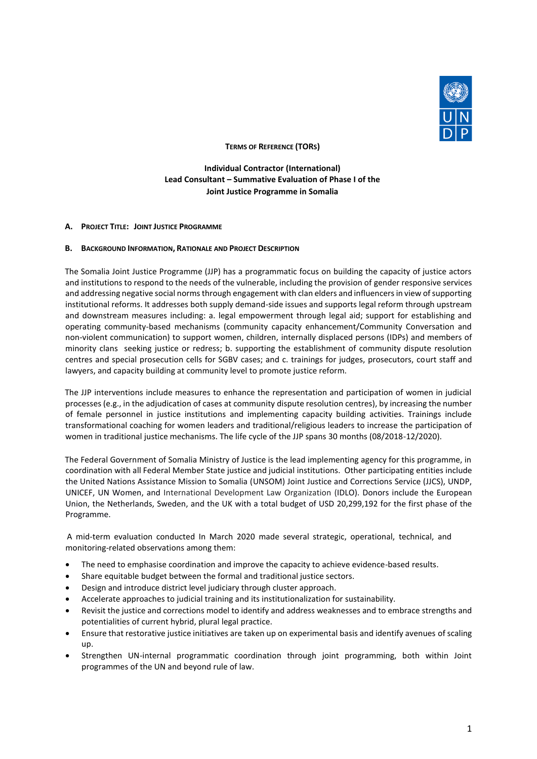

**TERMS OF REFERENCE (TORS)**

**Individual Contractor (International) Lead Consultant – Summative Evaluation of Phase I of the Joint Justice Programme in Somalia**

#### **A. PROJECT TITLE: JOINT JUSTICE PROGRAMME**

#### **B. BACKGROUND INFORMATION, RATIONALE AND PROJECT DESCRIPTION**

The Somalia Joint Justice Programme (JJP) has a programmatic focus on building the capacity of justice actors and institutions to respond to the needs of the vulnerable, including the provision of gender responsive services and addressing negative social norms through engagement with clan elders and influencers in view of supporting institutional reforms. It addresses both supply demand-side issues and supports legal reform through upstream and downstream measures including: a. legal empowerment through legal aid; support for establishing and operating community-based mechanisms (community capacity enhancement/Community Conversation and non-violent communication) to support women, children, internally displaced persons (IDPs) and members of minority clans seeking justice or redress; b. supporting the establishment of community dispute resolution centres and special prosecution cells for SGBV cases; and c. trainings for judges, prosecutors, court staff and lawyers, and capacity building at community level to promote justice reform.

The JJP interventions include measures to enhance the representation and participation of women in judicial processes (e.g., in the adjudication of cases at community dispute resolution centres), by increasing the number of female personnel in justice institutions and implementing capacity building activities. Trainings include transformational coaching for women leaders and traditional/religious leaders to increase the participation of women in traditional justice mechanisms. The life cycle of the JJP spans 30 months (08/2018-12/2020).

The Federal Government of Somalia Ministry of Justice is the lead implementing agency for this programme, in coordination with all Federal Member State justice and judicial institutions. Other participating entities include the United Nations Assistance Mission to Somalia (UNSOM) Joint Justice and Corrections Service (JJCS), UNDP, UNICEF, UN Women, and International Development Law Organization (IDLO). Donors include the European Union, the Netherlands, Sweden, and the UK with a total budget of USD 20,299,192 for the first phase of the Programme.

A mid-term evaluation conducted In March 2020 made several strategic, operational, technical, and monitoring-related observations among them:

- The need to emphasise coordination and improve the capacity to achieve evidence-based results.
- Share equitable budget between the formal and traditional justice sectors.
- Design and introduce district level judiciary through cluster approach.
- Accelerate approaches to judicial training and its institutionalization for sustainability.
- Revisit the justice and corrections model to identify and address weaknesses and to embrace strengths and potentialities of current hybrid, plural legal practice.
- Ensure that restorative justice initiatives are taken up on experimental basis and identify avenues of scaling up.
- Strengthen UN-internal programmatic coordination through joint programming, both within Joint programmes of the UN and beyond rule of law.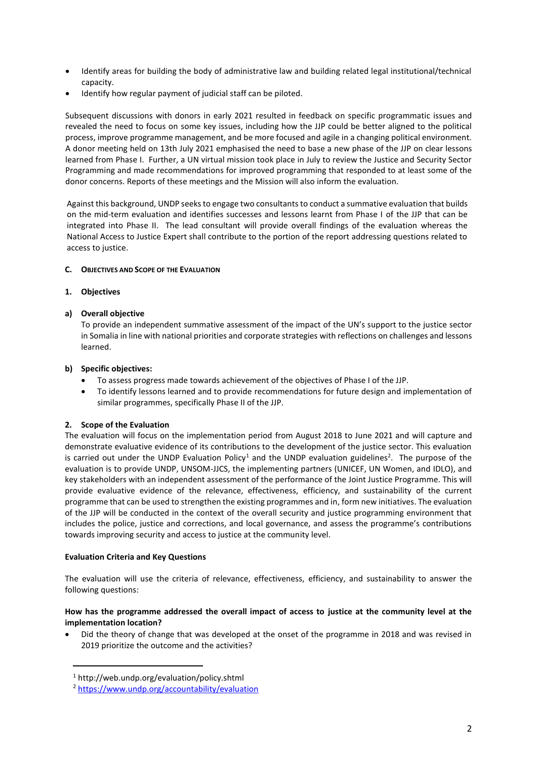- Identify areas for building the body of administrative law and building related legal institutional/technical capacity.
- Identify how regular payment of judicial staff can be piloted.

Subsequent discussions with donors in early 2021 resulted in feedback on specific programmatic issues and revealed the need to focus on some key issues, including how the JJP could be better aligned to the political process, improve programme management, and be more focused and agile in a changing political environment. A donor meeting held on 13th July 2021 emphasised the need to base a new phase of the JJP on clear lessons learned from Phase I. Further, a UN virtual mission took place in July to review the Justice and Security Sector Programming and made recommendations for improved programming that responded to at least some of the donor concerns. Reports of these meetings and the Mission will also inform the evaluation.

Against this background, UNDP seeks to engage two consultants to conduct a summative evaluation that builds on the mid-term evaluation and identifies successes and lessons learnt from Phase I of the JJP that can be integrated into Phase II. The lead consultant will provide overall findings of the evaluation whereas the National Access to Justice Expert shall contribute to the portion of the report addressing questions related to access to justice.

## **C. OBJECTIVES AND SCOPE OF THE EVALUATION**

### **1. Objectives**

### **a) Overall objective**

To provide an independent summative assessment of the impact of the UN's support to the justice sector in Somalia in line with national priorities and corporate strategies with reflections on challenges and lessons learned.

### **b) Specific objectives:**

- To assess progress made towards achievement of the objectives of Phase I of the JJP.
- To identify lessons learned and to provide recommendations for future design and implementation of similar programmes, specifically Phase II of the JJP.

# **2. Scope of the Evaluation**

The evaluation will focus on the implementation period from August 2018 to June 2021 and will capture and demonstrate evaluative evidence of its contributions to the development of the justice sector. This evaluation is carried out under the UNDP Evaluation Policy<sup>1</sup> and the UNDP evaluation guidelines<sup>2</sup>. The purpose of the evaluation is to provide UNDP, UNSOM-JJCS, the implementing partners (UNICEF, UN Women, and IDLO), and key stakeholders with an independent assessment of the performance of the Joint Justice Programme. This will provide evaluative evidence of the relevance, effectiveness, efficiency, and sustainability of the current programme that can be used to strengthen the existing programmes and in, form new initiatives. The evaluation of the JJP will be conducted in the context of the overall security and justice programming environment that includes the police, justice and corrections, and local governance, and assess the programme's contributions towards improving security and access to justice at the community level.

### **Evaluation Criteria and Key Questions**

The evaluation will use the criteria of relevance, effectiveness, efficiency, and sustainability to answer the following questions:

## **How has the programme addressed the overall impact of access to justice at the community level at the implementation location?**

• Did the theory of change that was developed at the onset of the programme in 2018 and was revised in 2019 prioritize the outcome and the activities?

<sup>1</sup> http://web.undp.org/evaluation/policy.shtml

<sup>2</sup> <https://www.undp.org/accountability/evaluation>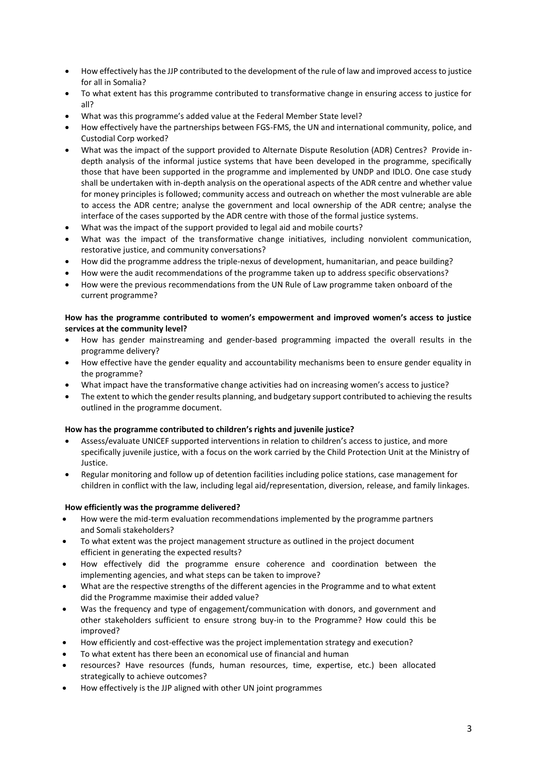- How effectively has the JJP contributed to the development of the rule of law and improved access to justice for all in Somalia?
- To what extent has this programme contributed to transformative change in ensuring access to justice for all?
- What was this programme's added value at the Federal Member State level?
- How effectively have the partnerships between FGS-FMS, the UN and international community, police, and Custodial Corp worked?
- What was the impact of the support provided to Alternate Dispute Resolution (ADR) Centres? Provide indepth analysis of the informal justice systems that have been developed in the programme, specifically those that have been supported in the programme and implemented by UNDP and IDLO. One case study shall be undertaken with in-depth analysis on the operational aspects of the ADR centre and whether value for money principles is followed; community access and outreach on whether the most vulnerable are able to access the ADR centre; analyse the government and local ownership of the ADR centre; analyse the interface of the cases supported by the ADR centre with those of the formal justice systems.
- What was the impact of the support provided to legal aid and mobile courts?
- What was the impact of the transformative change initiatives, including nonviolent communication, restorative justice, and community conversations?
- How did the programme address the triple-nexus of development, humanitarian, and peace building?
- How were the audit recommendations of the programme taken up to address specific observations?
- How were the previous recommendations from the UN Rule of Law programme taken onboard of the current programme?

### **How has the programme contributed to women's empowerment and improved women's access to justice services at the community level?**

- How has gender mainstreaming and gender-based programming impacted the overall results in the programme delivery?
- How effective have the gender equality and accountability mechanisms been to ensure gender equality in the programme?
- What impact have the transformative change activities had on increasing women's access to justice?
- The extent to which the gender results planning, and budgetary support contributed to achieving the results outlined in the programme document.

# **How has the programme contributed to children's rights and juvenile justice?**

- Assess/evaluate UNICEF supported interventions in relation to children's access to justice, and more specifically juvenile justice, with a focus on the work carried by the Child Protection Unit at the Ministry of Justice.
- Regular monitoring and follow up of detention facilities including police stations, case management for children in conflict with the law, including legal aid/representation, diversion, release, and family linkages.

# **How efficiently was the programme delivered?**

- How were the mid-term evaluation recommendations implemented by the programme partners and Somali stakeholders?
- To what extent was the project management structure as outlined in the project document efficient in generating the expected results?
- How effectively did the programme ensure coherence and coordination between the implementing agencies, and what steps can be taken to improve?
- What are the respective strengths of the different agencies in the Programme and to what extent did the Programme maximise their added value?
- Was the frequency and type of engagement/communication with donors, and government and other stakeholders sufficient to ensure strong buy-in to the Programme? How could this be improved?
- How efficiently and cost-effective was the project implementation strategy and execution?
- To what extent has there been an economical use of financial and human
- resources? Have resources (funds, human resources, time, expertise, etc.) been allocated strategically to achieve outcomes?
- How effectively is the JJP aligned with other UN joint programmes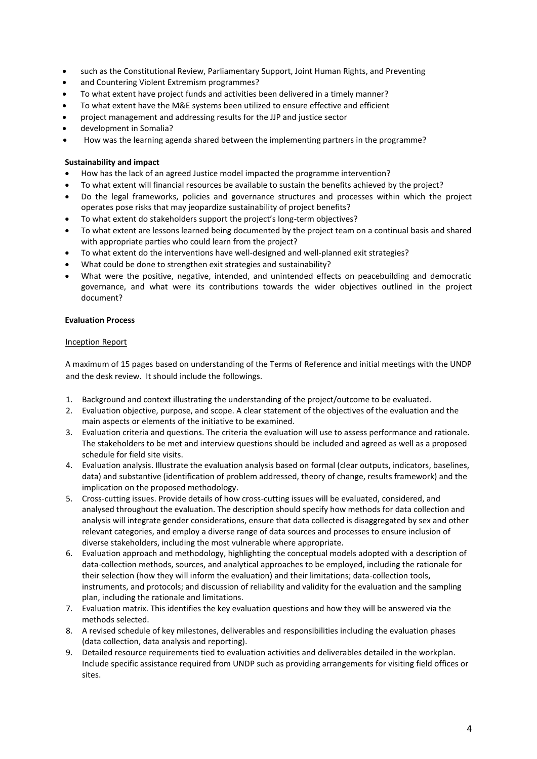- such as the Constitutional Review, Parliamentary Support, Joint Human Rights, and Preventing
- and Countering Violent Extremism programmes?
- To what extent have project funds and activities been delivered in a timely manner?
- To what extent have the M&E systems been utilized to ensure effective and efficient
- project management and addressing results for the JJP and justice sector
- development in Somalia?
- How was the learning agenda shared between the implementing partners in the programme?

### **Sustainability and impact**

- How has the lack of an agreed Justice model impacted the programme intervention?
- To what extent will financial resources be available to sustain the benefits achieved by the project?
- Do the legal frameworks, policies and governance structures and processes within which the project operates pose risks that may jeopardize sustainability of project benefits?
- To what extent do stakeholders support the project's long-term objectives?
- To what extent are lessons learned being documented by the project team on a continual basis and shared with appropriate parties who could learn from the project?
- To what extent do the interventions have well-designed and well-planned exit strategies?
- What could be done to strengthen exit strategies and sustainability?
- What were the positive, negative, intended, and unintended effects on peacebuilding and democratic governance, and what were its contributions towards the wider objectives outlined in the project document?

### **Evaluation Process**

### Inception Report

A maximum of 15 pages based on understanding of the Terms of Reference and initial meetings with the UNDP and the desk review. It should include the followings.

- 1. Background and context illustrating the understanding of the project/outcome to be evaluated.
- 2. Evaluation objective, purpose, and scope. A clear statement of the objectives of the evaluation and the main aspects or elements of the initiative to be examined.
- 3. Evaluation criteria and questions. The criteria the evaluation will use to assess performance and rationale. The stakeholders to be met and interview questions should be included and agreed as well as a proposed schedule for field site visits.
- 4. Evaluation analysis. Illustrate the evaluation analysis based on formal (clear outputs, indicators, baselines, data) and substantive (identification of problem addressed, theory of change, results framework) and the implication on the proposed methodology.
- 5. Cross-cutting issues. Provide details of how cross-cutting issues will be evaluated, considered, and analysed throughout the evaluation. The description should specify how methods for data collection and analysis will integrate gender considerations, ensure that data collected is disaggregated by sex and other relevant categories, and employ a diverse range of data sources and processes to ensure inclusion of diverse stakeholders, including the most vulnerable where appropriate.
- 6. Evaluation approach and methodology, highlighting the conceptual models adopted with a description of data-collection methods, sources, and analytical approaches to be employed, including the rationale for their selection (how they will inform the evaluation) and their limitations; data-collection tools, instruments, and protocols; and discussion of reliability and validity for the evaluation and the sampling plan, including the rationale and limitations.
- 7. Evaluation matrix. This identifies the key evaluation questions and how they will be answered via the methods selected.
- 8. A revised schedule of key milestones, deliverables and responsibilities including the evaluation phases (data collection, data analysis and reporting).
- 9. Detailed resource requirements tied to evaluation activities and deliverables detailed in the workplan. Include specific assistance required from UNDP such as providing arrangements for visiting field offices or sites.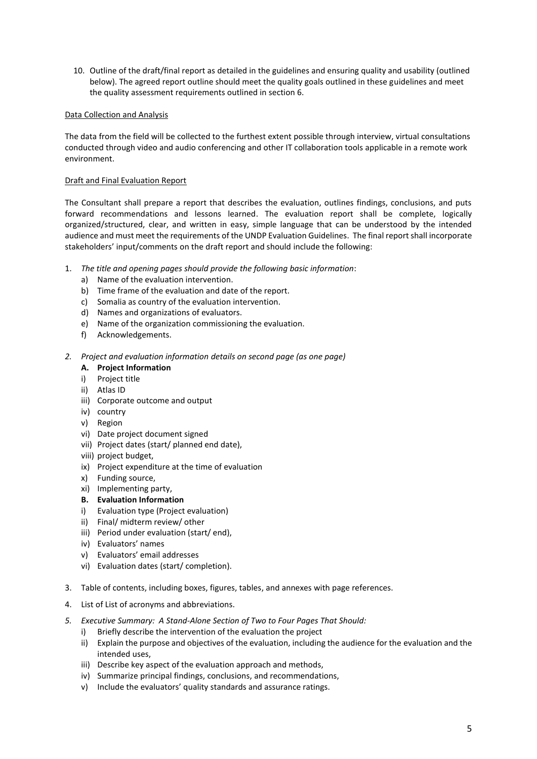10. Outline of the draft/final report as detailed in the guidelines and ensuring quality and usability (outlined below). The agreed report outline should meet the quality goals outlined in these guidelines and meet the quality assessment requirements outlined in section 6.

## Data Collection and Analysis

The data from the field will be collected to the furthest extent possible through interview, virtual consultations conducted through video and audio conferencing and other IT collaboration tools applicable in a remote work environment.

## Draft and Final Evaluation Report

The Consultant shall prepare a report that describes the evaluation, outlines findings, conclusions, and puts forward recommendations and lessons learned. The evaluation report shall be complete, logically organized/structured, clear, and written in easy, simple language that can be understood by the intended audience and must meet the requirements of the UNDP Evaluation Guidelines. The final report shall incorporate stakeholders' input/comments on the draft report and should include the following:

- 1. *The title and opening pages should provide the following basic information*:
	- a) Name of the evaluation intervention.
	- b) Time frame of the evaluation and date of the report.
	- c) Somalia as country of the evaluation intervention.
	- d) Names and organizations of evaluators.
	- e) Name of the organization commissioning the evaluation.
	- f) Acknowledgements.
- *2. Project and evaluation information details on second page (as one page)*

### **A. Project Information**

- i) Project title
- ii) Atlas ID
- iii) Corporate outcome and output
- iv) country
- v) Region
- vi) Date project document signed
- vii) Project dates (start/ planned end date),
- viii) project budget,
- ix) Project expenditure at the time of evaluation
- x) Funding source,
- xi) Implementing party,
- **B. Evaluation Information**
- i) Evaluation type (Project evaluation)
- ii) Final/ midterm review/ other
- iii) Period under evaluation (start/ end),
- iv) Evaluators' names
- v) Evaluators' email addresses
- vi) Evaluation dates (start/ completion).
- 3. Table of contents, including boxes, figures, tables, and annexes with page references.
- 4. List of List of acronyms and abbreviations.
- *5. Executive Summary: A Stand-Alone Section of Two to Four Pages That Should:* 
	- i) Briefly describe the intervention of the evaluation the project
	- ii) Explain the purpose and objectives of the evaluation, including the audience for the evaluation and the intended uses,
	- iii) Describe key aspect of the evaluation approach and methods,
	- iv) Summarize principal findings, conclusions, and recommendations,
	- v) Include the evaluators' quality standards and assurance ratings.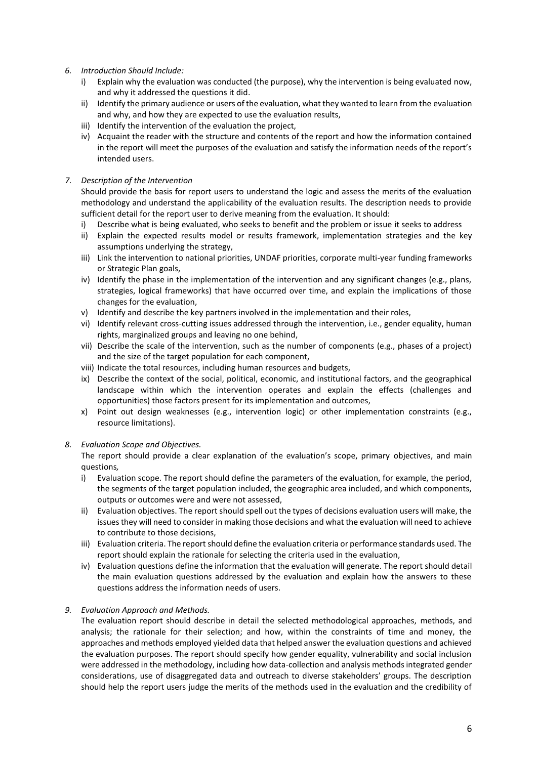- *6. Introduction Should Include:*
	- i) Explain why the evaluation was conducted (the purpose), why the intervention is being evaluated now, and why it addressed the questions it did.
	- ii) Identify the primary audience or users of the evaluation, what they wanted to learn from the evaluation and why, and how they are expected to use the evaluation results,
	- iii) Identify the intervention of the evaluation the project,
	- iv) Acquaint the reader with the structure and contents of the report and how the information contained in the report will meet the purposes of the evaluation and satisfy the information needs of the report's intended users.

### *7. Description of the Intervention*

Should provide the basis for report users to understand the logic and assess the merits of the evaluation methodology and understand the applicability of the evaluation results. The description needs to provide sufficient detail for the report user to derive meaning from the evaluation. It should:

- i) Describe what is being evaluated, who seeks to benefit and the problem or issue it seeks to address
- ii) Explain the expected results model or results framework, implementation strategies and the key assumptions underlying the strategy,
- iii) Link the intervention to national priorities, UNDAF priorities, corporate multi-year funding frameworks or Strategic Plan goals,
- iv) Identify the phase in the implementation of the intervention and any significant changes (e.g., plans, strategies, logical frameworks) that have occurred over time, and explain the implications of those changes for the evaluation,
- v) Identify and describe the key partners involved in the implementation and their roles,
- vi) Identify relevant cross-cutting issues addressed through the intervention, i.e., gender equality, human rights, marginalized groups and leaving no one behind,
- vii) Describe the scale of the intervention, such as the number of components (e.g., phases of a project) and the size of the target population for each component,
- viii) Indicate the total resources, including human resources and budgets,
- ix) Describe the context of the social, political, economic, and institutional factors, and the geographical landscape within which the intervention operates and explain the effects (challenges and opportunities) those factors present for its implementation and outcomes,
- x) Point out design weaknesses (e.g., intervention logic) or other implementation constraints (e.g., resource limitations).

### *8. Evaluation Scope and Objectives.*

The report should provide a clear explanation of the evaluation's scope, primary objectives, and main questions*,*

- i) Evaluation scope. The report should define the parameters of the evaluation, for example, the period, the segments of the target population included, the geographic area included, and which components, outputs or outcomes were and were not assessed,
- ii) Evaluation objectives. The report should spell out the types of decisions evaluation users will make, the issues they will need to consider in making those decisions and what the evaluation will need to achieve to contribute to those decisions,
- iii) Evaluation criteria. The report should define the evaluation criteria or performance standards used. The report should explain the rationale for selecting the criteria used in the evaluation,
- iv) Evaluation questions define the information that the evaluation will generate. The report should detail the main evaluation questions addressed by the evaluation and explain how the answers to these questions address the information needs of users.

### *9. Evaluation Approach and Methods.*

The evaluation report should describe in detail the selected methodological approaches, methods, and analysis; the rationale for their selection; and how, within the constraints of time and money, the approaches and methods employed yielded data that helped answer the evaluation questions and achieved the evaluation purposes. The report should specify how gender equality, vulnerability and social inclusion were addressed in the methodology, including how data-collection and analysis methods integrated gender considerations, use of disaggregated data and outreach to diverse stakeholders' groups. The description should help the report users judge the merits of the methods used in the evaluation and the credibility of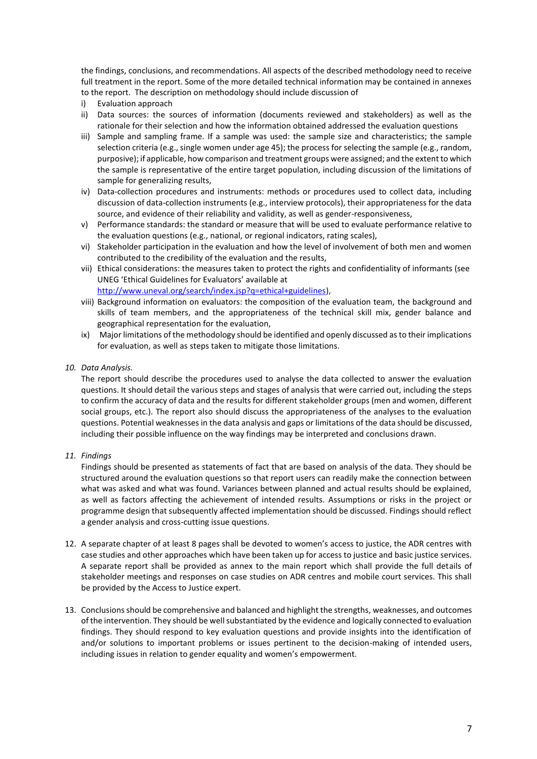the findings, conclusions, and recommendations. All aspects of the described methodology need to receive full treatment in the report. Some of the more detailed technical information may be contained in annexes to the report. The description on methodology should include discussion of

- i) Evaluation approach
- ii) Data sources: the sources of information (documents reviewed and stakeholders) as well as the rationale for their selection and how the information obtained addressed the evaluation questions
- iii) Sample and sampling frame. If a sample was used: the sample size and characteristics; the sample selection criteria (e.g., single women under age 45); the process for selecting the sample (e.g., random, purposive); if applicable, how comparison and treatment groups were assigned; and the extent to which the sample is representative of the entire target population, including discussion of the limitations of sample for generalizing results,
- iv) Data-collection procedures and instruments: methods or procedures used to collect data, including discussion of data-collection instruments (e.g., interview protocols), their appropriateness for the data source, and evidence of their reliability and validity, as well as gender-responsiveness,
- v) Performance standards: the standard or measure that will be used to evaluate performance relative to the evaluation questions (e.g., national, or regional indicators, rating scales),
- vi) Stakeholder participation in the evaluation and how the level of involvement of both men and women contributed to the credibility of the evaluation and the results,
- vii) Ethical considerations: the measures taken to protect the rights and confidentiality of informants (see UNEG 'Ethical Guidelines for Evaluators' available at [http://www.uneval.org/search/index.jsp?q=ethical+guidelines\)](http://www.uneval.org/search/index.jsp?q=ethical+guidelines),
- viii) Background information on evaluators: the composition of the evaluation team, the background and skills of team members, and the appropriateness of the technical skill mix, gender balance and geographical representation for the evaluation,
- ix) Major limitations of the methodology should be identified and openly discussed as to their implications for evaluation, as well as steps taken to mitigate those limitations.

### *10. Data Analysis.*

The report should describe the procedures used to analyse the data collected to answer the evaluation questions. It should detail the various steps and stages of analysis that were carried out, including the steps to confirm the accuracy of data and the results for different stakeholder groups (men and women, different social groups, etc.). The report also should discuss the appropriateness of the analyses to the evaluation questions. Potential weaknesses in the data analysis and gaps or limitations of the data should be discussed, including their possible influence on the way findings may be interpreted and conclusions drawn.

*11. Findings* 

Findings should be presented as statements of fact that are based on analysis of the data. They should be structured around the evaluation questions so that report users can readily make the connection between what was asked and what was found. Variances between planned and actual results should be explained, as well as factors affecting the achievement of intended results. Assumptions or risks in the project or programme design that subsequently affected implementation should be discussed. Findings should reflect a gender analysis and cross-cutting issue questions.

- 12. A separate chapter of at least 8 pages shall be devoted to women's access to justice, the ADR centres with case studies and other approaches which have been taken up for access to justice and basic justice services. A separate report shall be provided as annex to the main report which shall provide the full details of stakeholder meetings and responses on case studies on ADR centres and mobile court services. This shall be provided by the Access to Justice expert.
- 13. Conclusions should be comprehensive and balanced and highlight the strengths, weaknesses, and outcomes of the intervention. They should be well substantiated by the evidence and logically connected to evaluation findings. They should respond to key evaluation questions and provide insights into the identification of and/or solutions to important problems or issues pertinent to the decision-making of intended users, including issues in relation to gender equality and women's empowerment.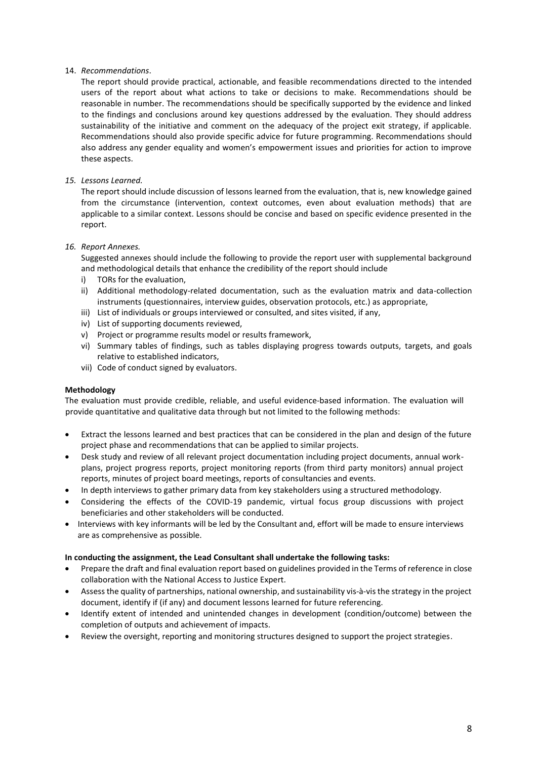### 14. *Recommendations*.

The report should provide practical, actionable, and feasible recommendations directed to the intended users of the report about what actions to take or decisions to make. Recommendations should be reasonable in number. The recommendations should be specifically supported by the evidence and linked to the findings and conclusions around key questions addressed by the evaluation. They should address sustainability of the initiative and comment on the adequacy of the project exit strategy, if applicable. Recommendations should also provide specific advice for future programming. Recommendations should also address any gender equality and women's empowerment issues and priorities for action to improve these aspects.

## *15. Lessons Learned.*

The report should include discussion of lessons learned from the evaluation, that is, new knowledge gained from the circumstance (intervention, context outcomes, even about evaluation methods) that are applicable to a similar context. Lessons should be concise and based on specific evidence presented in the report.

### *16. Report Annexes.*

Suggested annexes should include the following to provide the report user with supplemental background and methodological details that enhance the credibility of the report should include

- i) TORs for the evaluation,
- ii) Additional methodology-related documentation, such as the evaluation matrix and data-collection instruments (questionnaires, interview guides, observation protocols, etc.) as appropriate,
- iii) List of individuals or groups interviewed or consulted, and sites visited, if any,
- iv) List of supporting documents reviewed,
- v) Project or programme results model or results framework,
- vi) Summary tables of findings, such as tables displaying progress towards outputs, targets, and goals relative to established indicators,
- vii) Code of conduct signed by evaluators.

### **Methodology**

The evaluation must provide credible, reliable, and useful evidence-based information. The evaluation will provide quantitative and qualitative data through but not limited to the following methods:

- Extract the lessons learned and best practices that can be considered in the plan and design of the future project phase and recommendations that can be applied to similar projects.
- Desk study and review of all relevant project documentation including project documents, annual workplans, project progress reports, project monitoring reports (from third party monitors) annual project reports, minutes of project board meetings, reports of consultancies and events.
- In depth interviews to gather primary data from key stakeholders using a structured methodology.
- Considering the effects of the COVID-19 pandemic, virtual focus group discussions with project beneficiaries and other stakeholders will be conducted.
- Interviews with key informants will be led by the Consultant and, effort will be made to ensure interviews are as comprehensive as possible.

### **In conducting the assignment, the Lead Consultant shall undertake the following tasks:**

- Prepare the draft and final evaluation report based on guidelines provided in the Terms of reference in close collaboration with the National Access to Justice Expert.
- Assess the quality of partnerships, national ownership, and sustainability vis‐à‐vis the strategy in the project document, identify if (if any) and document lessons learned for future referencing.
- Identify extent of intended and unintended changes in development (condition/outcome) between the completion of outputs and achievement of impacts.
- Review the oversight, reporting and monitoring structures designed to support the project strategies.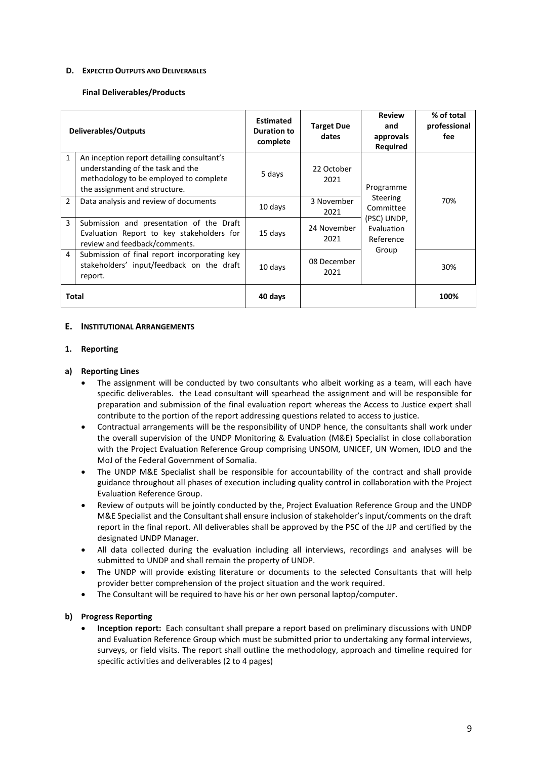#### **D. EXPECTED OUTPUTS AND DELIVERABLES**

#### **Final Deliverables/Products**

| <b>Deliverables/Outputs</b> |                                                                                                                                                            | <b>Estimated</b><br><b>Duration to</b><br>complete | <b>Target Due</b><br>dates | <b>Review</b><br>and<br>approvals<br><b>Required</b>                                         | % of total<br>professional<br>fee |
|-----------------------------|------------------------------------------------------------------------------------------------------------------------------------------------------------|----------------------------------------------------|----------------------------|----------------------------------------------------------------------------------------------|-----------------------------------|
| $\mathbf{1}$                | An inception report detailing consultant's<br>understanding of the task and the<br>methodology to be employed to complete<br>the assignment and structure. | 5 days                                             | 22 October<br>2021         | Programme<br><b>Steering</b><br>Committee<br>(PSC) UNDP,<br>Evaluation<br>Reference<br>Group | 70%                               |
| $\mathfrak{p}$              | Data analysis and review of documents                                                                                                                      | 10 days                                            | 3 November<br>2021         |                                                                                              |                                   |
| 3                           | Submission and presentation of the Draft<br>Evaluation Report to key stakeholders for<br>review and feedback/comments.                                     | 15 days                                            | 24 November<br>2021        |                                                                                              |                                   |
| 4                           | Submission of final report incorporating key<br>stakeholders' input/feedback on the draft<br>report.                                                       | 10 days                                            | 08 December<br>2021        |                                                                                              | 30%                               |
| Total                       |                                                                                                                                                            | 40 days                                            |                            |                                                                                              | 100%                              |

### **E. INSTITUTIONAL ARRANGEMENTS**

#### **1. Reporting**

### **a) Reporting Lines**

- The assignment will be conducted by two consultants who albeit working as a team, will each have specific deliverables. the Lead consultant will spearhead the assignment and will be responsible for preparation and submission of the final evaluation report whereas the Access to Justice expert shall contribute to the portion of the report addressing questions related to access to justice.
- Contractual arrangements will be the responsibility of UNDP hence, the consultants shall work under the overall supervision of the UNDP Monitoring & Evaluation (M&E) Specialist in close collaboration with the Project Evaluation Reference Group comprising UNSOM, UNICEF, UN Women, IDLO and the MoJ of the Federal Government of Somalia.
- The UNDP M&E Specialist shall be responsible for accountability of the contract and shall provide guidance throughout all phases of execution including quality control in collaboration with the Project Evaluation Reference Group.
- Review of outputs will be jointly conducted by the, Project Evaluation Reference Group and the UNDP M&E Specialist and the Consultant shall ensure inclusion of stakeholder's input/comments on the draft report in the final report. All deliverables shall be approved by the PSC of the JJP and certified by the designated UNDP Manager.
- All data collected during the evaluation including all interviews, recordings and analyses will be submitted to UNDP and shall remain the property of UNDP.
- The UNDP will provide existing literature or documents to the selected Consultants that will help provider better comprehension of the project situation and the work required.
- The Consultant will be required to have his or her own personal laptop/computer.

## **b) Progress Reporting**

• **Inception report:** Each consultant shall prepare a report based on preliminary discussions with UNDP and Evaluation Reference Group which must be submitted prior to undertaking any formal interviews, surveys, or field visits. The report shall outline the methodology, approach and timeline required for specific activities and deliverables (2 to 4 pages)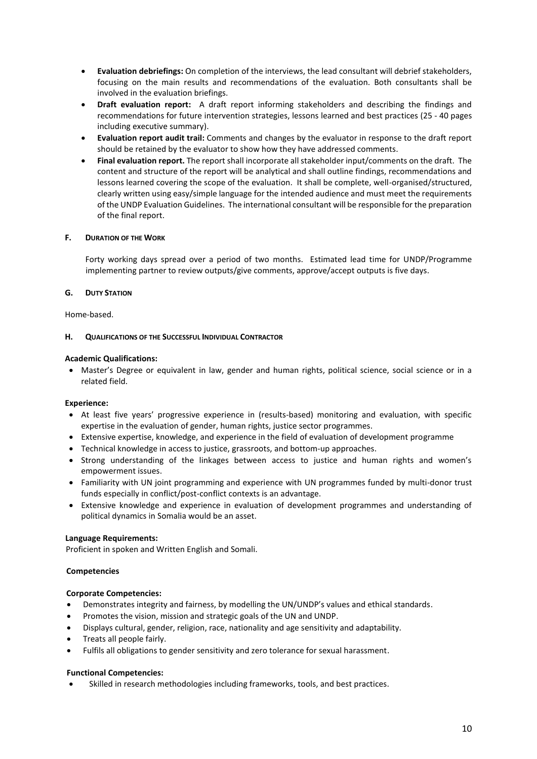- **Evaluation debriefings:** On completion of the interviews, the lead consultant will debrief stakeholders, focusing on the main results and recommendations of the evaluation. Both consultants shall be involved in the evaluation briefings.
- **Draft evaluation report:** A draft report informing stakeholders and describing the findings and recommendations for future intervention strategies, lessons learned and best practices (25 - 40 pages including executive summary).
- **Evaluation report audit trail:** Comments and changes by the evaluator in response to the draft report should be retained by the evaluator to show how they have addressed comments.
- **Final evaluation report.** The report shall incorporate all stakeholder input/comments on the draft. The content and structure of the report will be analytical and shall outline findings, recommendations and lessons learned covering the scope of the evaluation. It shall be complete, well-organised/structured, clearly written using easy/simple language for the intended audience and must meet the requirements of the UNDP Evaluation Guidelines. The international consultant will be responsible for the preparation of the final report.

### **F. DURATION OF THE WORK**

Forty working days spread over a period of two months. Estimated lead time for UNDP/Programme implementing partner to review outputs/give comments, approve/accept outputs is five days.

## **G. DUTY STATION**

Home-based.

### **H. QUALIFICATIONS OF THE SUCCESSFUL INDIVIDUAL CONTRACTOR**

## **Academic Qualifications:**

• Master's Degree or equivalent in law, gender and human rights, political science, social science or in a related field.

# **Experience:**

- At least five years' progressive experience in (results-based) monitoring and evaluation, with specific expertise in the evaluation of gender, human rights, justice sector programmes.
- Extensive expertise, knowledge, and experience in the field of evaluation of development programme
- Technical knowledge in access to justice, grassroots, and bottom-up approaches.
- Strong understanding of the linkages between access to justice and human rights and women's empowerment issues.
- Familiarity with UN joint programming and experience with UN programmes funded by multi-donor trust funds especially in conflict/post-conflict contexts is an advantage.
- Extensive knowledge and experience in evaluation of development programmes and understanding of political dynamics in Somalia would be an asset.

### **Language Requirements:**

Proficient in spoken and Written English and Somali.

### **Competencies**

# **Corporate Competencies:**

- Demonstrates integrity and fairness, by modelling the UN/UNDP's values and ethical standards.
- Promotes the vision, mission and strategic goals of the UN and UNDP.
- Displays cultural, gender, religion, race, nationality and age sensitivity and adaptability.
- Treats all people fairly.
- Fulfils all obligations to gender sensitivity and zero tolerance for sexual harassment.

### **Functional Competencies:**

Skilled in research methodologies including frameworks, tools, and best practices.